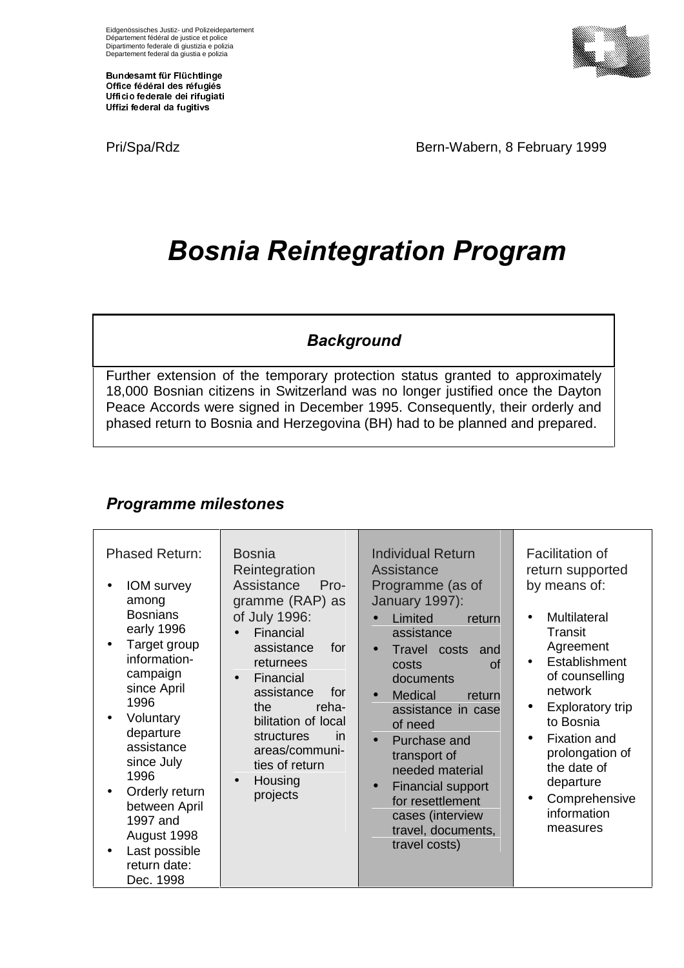Bundesamt für Flüchtlinge Office fédéral des réfugiés Ufficio federale dei rifugiati Uffizi federal da fugitivs

Pri/Spa/Rdz Bern-Wabern, 8 February 1999

# **Bosnia Reintegration Program**

### **Background**

Further extension of the temporary protection status granted to approximately 18,000 Bosnian citizens in Switzerland was no longer justified once the Dayton Peace Accords were signed in December 1995. Consequently, their orderly and phased return to Bosnia and Herzegovina (BH) had to be planned and prepared.

#### **Programme milestones**

| <b>Phased Return:</b><br><b>IOM</b> survey<br>among<br><b>Bosnians</b><br>early 1996<br>Target group<br>information-<br>campaign<br>since April<br>1996<br>Voluntary<br>departure<br>assistance<br>since July<br>1996<br>Orderly return<br>between April<br>1997 and<br>August 1998<br>Last possible<br>return date:<br>Dec. 1998 | <b>Bosnia</b><br>Reintegration<br>Assistance<br>$Pro-$<br>gramme (RAP) as<br>of July 1996:<br>Financial<br>for<br>assistance<br>returnees<br>Financial<br>assistance<br>for<br>the<br>reha-<br>bilitation of local<br>structures<br>in<br>areas/communi-<br>ties of return<br>Housing<br>projects | <b>Individual Return</b><br><b>Assistance</b><br>Programme (as of<br>January 1997):<br>Limited<br>return<br>assistance<br>Travel costs<br>and<br>$\bullet$<br>$\alpha$ f<br>costs<br>documents<br><b>Medical</b><br>return<br>$\bullet$<br>assistance in case<br>of need<br>Purchase and<br>$\bullet$<br>transport of<br>needed material<br><b>Financial support</b><br>$\bullet$<br>for resettlement<br>cases (interview<br>travel, documents,<br>travel costs) | <b>Facilitation of</b><br>return supported<br>by means of:<br><b>Multilateral</b><br>$\bullet$<br>Transit<br>Agreement<br>Establishment<br>$\bullet$<br>of counselling<br>network<br><b>Exploratory trip</b><br>$\bullet$<br>to Bosnia<br><b>Fixation and</b><br>$\bullet$<br>prolongation of<br>the date of<br>departure<br>Comprehensive<br>$\bullet$<br>information<br>measures |
|-----------------------------------------------------------------------------------------------------------------------------------------------------------------------------------------------------------------------------------------------------------------------------------------------------------------------------------|---------------------------------------------------------------------------------------------------------------------------------------------------------------------------------------------------------------------------------------------------------------------------------------------------|------------------------------------------------------------------------------------------------------------------------------------------------------------------------------------------------------------------------------------------------------------------------------------------------------------------------------------------------------------------------------------------------------------------------------------------------------------------|------------------------------------------------------------------------------------------------------------------------------------------------------------------------------------------------------------------------------------------------------------------------------------------------------------------------------------------------------------------------------------|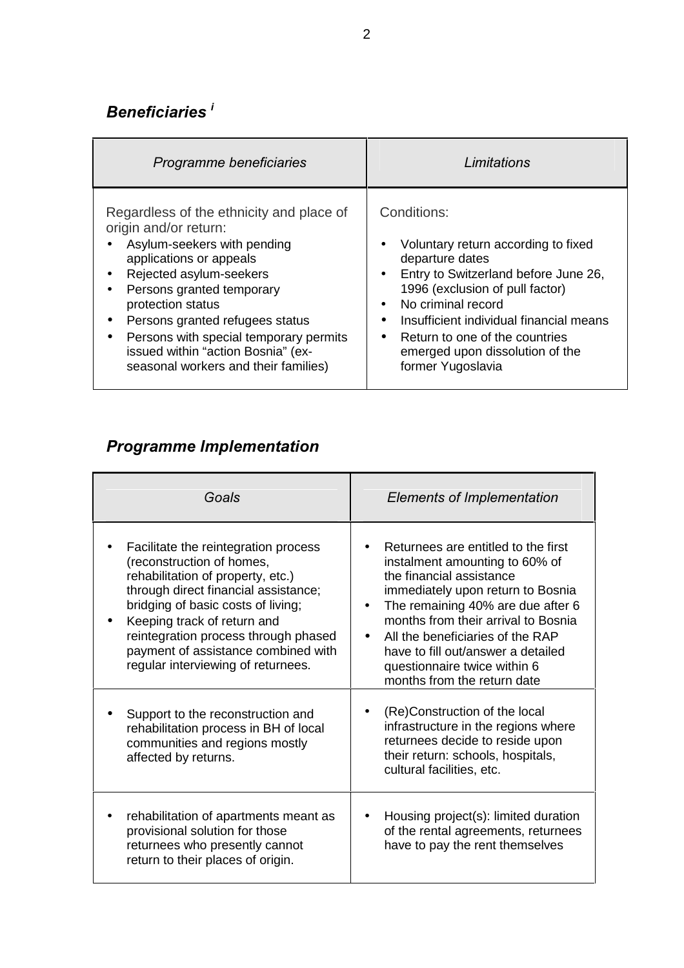## Beneficiaries<sup>i</sup>

| Programme beneficiaries                  | Limitations                             |
|------------------------------------------|-----------------------------------------|
| Regardless of the ethnicity and place of | Conditions:                             |
| origin and/or return:                    | Voluntary return according to fixed     |
| Asylum-seekers with pending              | $\bullet$                               |
| applications or appeals                  | departure dates                         |
| Rejected asylum-seekers                  | Entry to Switzerland before June 26,    |
| $\bullet$                                | $\bullet$                               |
| Persons granted temporary                | 1996 (exclusion of pull factor)         |
| $\bullet$                                | No criminal record                      |
| protection status                        | $\bullet$                               |
| Persons granted refugees status          | Insufficient individual financial means |
| $\bullet$                                | $\bullet$                               |
| Persons with special temporary permits   | Return to one of the countries          |
| $\bullet$                                | $\bullet$                               |
| issued within "action Bosnia" (ex-       | emerged upon dissolution of the         |
| seasonal workers and their families)     | former Yugoslavia                       |

#### **Programme Implementation**

| Goals                                                                                                                                                                                                                                                                                                                                    | Elements of Implementation                                                                                                                                                                                                                                                                                                                                  |
|------------------------------------------------------------------------------------------------------------------------------------------------------------------------------------------------------------------------------------------------------------------------------------------------------------------------------------------|-------------------------------------------------------------------------------------------------------------------------------------------------------------------------------------------------------------------------------------------------------------------------------------------------------------------------------------------------------------|
| Facilitate the reintegration process<br>(reconstruction of homes,<br>rehabilitation of property, etc.)<br>through direct financial assistance;<br>bridging of basic costs of living;<br>Keeping track of return and<br>reintegration process through phased<br>payment of assistance combined with<br>regular interviewing of returnees. | Returnees are entitled to the first<br>instalment amounting to 60% of<br>the financial assistance<br>immediately upon return to Bosnia<br>The remaining 40% are due after 6<br>months from their arrival to Bosnia<br>All the beneficiaries of the RAP<br>have to fill out/answer a detailed<br>questionnaire twice within 6<br>months from the return date |
| Support to the reconstruction and<br>rehabilitation process in BH of local<br>communities and regions mostly<br>affected by returns.                                                                                                                                                                                                     | (Re)Construction of the local<br>infrastructure in the regions where<br>returnees decide to reside upon<br>their return: schools, hospitals,<br>cultural facilities, etc.                                                                                                                                                                                   |
| rehabilitation of apartments meant as<br>provisional solution for those<br>returnees who presently cannot<br>return to their places of origin.                                                                                                                                                                                           | Housing project(s): limited duration<br>$\bullet$<br>of the rental agreements, returnees<br>have to pay the rent themselves                                                                                                                                                                                                                                 |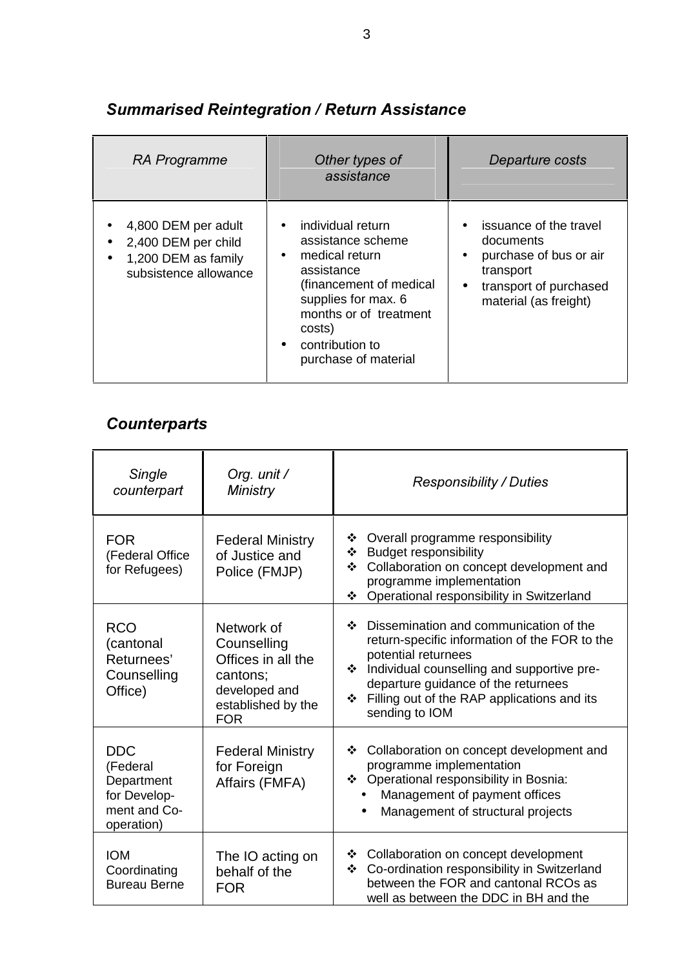| RA Programme                                                                               | Other types of<br>assistance                                                                                                                                                                                                                   | Departure costs                                                                                                                                         |
|--------------------------------------------------------------------------------------------|------------------------------------------------------------------------------------------------------------------------------------------------------------------------------------------------------------------------------------------------|---------------------------------------------------------------------------------------------------------------------------------------------------------|
| 4,800 DEM per adult<br>2,400 DEM per child<br>1,200 DEM as family<br>subsistence allowance | individual return<br>$\bullet$<br>assistance scheme<br>medical return<br>$\bullet$<br>assistance<br>(financement of medical<br>supplies for max. 6<br>months or of treatment<br>costs)<br>contribution to<br>$\bullet$<br>purchase of material | issuance of the travel<br>documents<br>purchase of bus or air<br>$\bullet$<br>transport<br>transport of purchased<br>$\bullet$<br>material (as freight) |

#### **Summarised Reintegration / Return Assistance**

#### **Counterparts**

| Single<br>counterpart                                                              | Org. unit /<br><b>Ministry</b>                                                                                   | <b>Responsibility / Duties</b>                                                                                                                                                                                                                                                                     |
|------------------------------------------------------------------------------------|------------------------------------------------------------------------------------------------------------------|----------------------------------------------------------------------------------------------------------------------------------------------------------------------------------------------------------------------------------------------------------------------------------------------------|
| <b>FOR</b><br>(Federal Office<br>for Refugees)                                     | <b>Federal Ministry</b><br>of Justice and<br>Police (FMJP)                                                       | Overall programme responsibility<br>❖<br><b>Budget responsibility</b><br>❖<br>Collaboration on concept development and<br>❖<br>programme implementation<br>Operational responsibility in Switzerland<br>❖                                                                                          |
| <b>RCO</b><br>(cantonal<br>Returnees'<br>Counselling<br>Office)                    | Network of<br>Counselling<br>Offices in all the<br>cantons;<br>developed and<br>established by the<br><b>FOR</b> | Dissemination and communication of the<br>❖<br>return-specific information of the FOR to the<br>potential returnees<br>Individual counselling and supportive pre-<br>$\ddot{\bullet}$<br>departure guidance of the returnees<br>Filling out of the RAP applications and its<br>❖<br>sending to IOM |
| <b>DDC</b><br>(Federal<br>Department<br>for Develop-<br>ment and Co-<br>operation) | <b>Federal Ministry</b><br>for Foreign<br>Affairs (FMFA)                                                         | Collaboration on concept development and<br>❖<br>programme implementation<br>❖ Operational responsibility in Bosnia:<br>Management of payment offices<br>Management of structural projects<br>$\bullet$                                                                                            |
| <b>IOM</b><br>Coordinating<br><b>Bureau Berne</b>                                  | The IO acting on<br>behalf of the<br><b>FOR</b>                                                                  | Collaboration on concept development<br>❖<br>Co-ordination responsibility in Switzerland<br>❖<br>between the FOR and cantonal RCOs as<br>well as between the DDC in BH and the                                                                                                                     |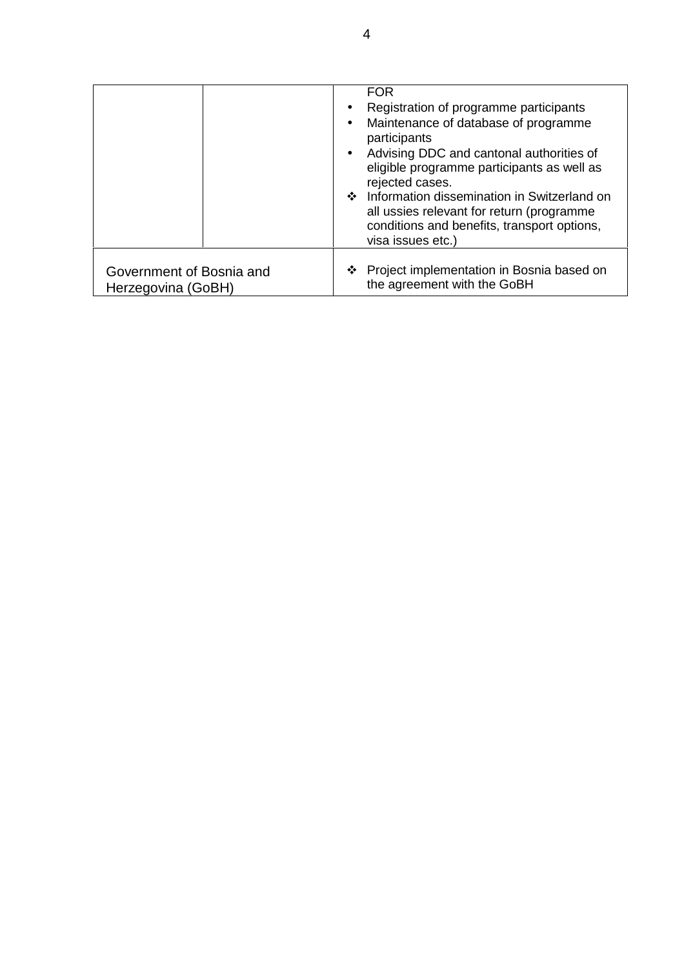|                                                | $\bullet$<br>$\bullet$ | <b>FOR</b><br>Registration of programme participants<br>Maintenance of database of programme<br>participants<br>Advising DDC and cantonal authorities of<br>eligible programme participants as well as<br>rejected cases.<br>❖ Information dissemination in Switzerland on<br>all ussies relevant for return (programme<br>conditions and benefits, transport options,<br>visa issues etc.) |
|------------------------------------------------|------------------------|---------------------------------------------------------------------------------------------------------------------------------------------------------------------------------------------------------------------------------------------------------------------------------------------------------------------------------------------------------------------------------------------|
| Government of Bosnia and<br>Herzegovina (GoBH) |                        | ❖ Project implementation in Bosnia based on<br>the agreement with the GoBH                                                                                                                                                                                                                                                                                                                  |